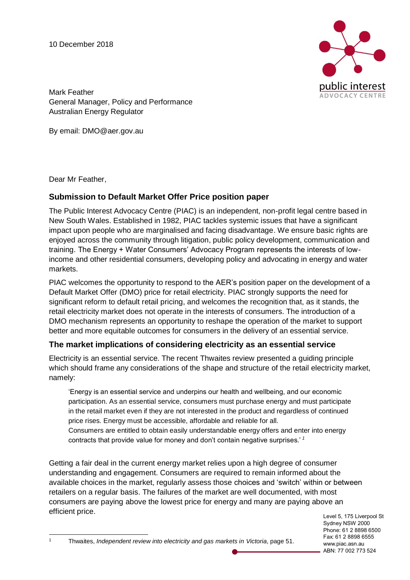10 December 2018



Mark Feather General Manager, Policy and Performance Australian Energy Regulator

By email: DMO@aer.gov.au

Dear Mr Feather,

 $\overline{a}$ 

# **Submission to Default Market Offer Price position paper**

The Public Interest Advocacy Centre (PIAC) is an independent, non-profit legal centre based in New South Wales. Established in 1982, PIAC tackles systemic issues that have a significant impact upon people who are marginalised and facing disadvantage. We ensure basic rights are enjoyed across the community through litigation, public policy development, communication and training. The Energy + Water Consumers' Advocacy Program represents the interests of lowincome and other residential consumers, developing policy and advocating in energy and water markets.

PIAC welcomes the opportunity to respond to the AER's position paper on the development of a Default Market Offer (DMO) price for retail electricity. PIAC strongly supports the need for significant reform to default retail pricing, and welcomes the recognition that, as it stands, the retail electricity market does not operate in the interests of consumers. The introduction of a DMO mechanism represents an opportunity to reshape the operation of the market to support better and more equitable outcomes for consumers in the delivery of an essential service.

# **The market implications of considering electricity as an essential service**

Electricity is an essential service. The recent Thwaites review presented a guiding principle which should frame any considerations of the shape and structure of the retail electricity market, namely:

'Energy is an essential service and underpins our health and wellbeing, and our economic participation. As an essential service, consumers must purchase energy and must participate in the retail market even if they are not interested in the product and regardless of continued price rises. Energy must be accessible, affordable and reliable for all.

Consumers are entitled to obtain easily understandable energy offers and enter into energy contracts that provide value for money and don't contain negative surprises.' *<sup>1</sup>*

Getting a fair deal in the current energy market relies upon a high degree of consumer understanding and engagement. Consumers are required to remain informed about the available choices in the market, regularly assess those choices and 'switch' within or between retailers on a regular basis. The failures of the market are well documented, with most consumers are paying above the lowest price for energy and many are paying above an efficient price.

Level 5, 175 Liverpool St Sydney NSW 2000 Phone: 61 2 8898 6500 Fax: 61 2 8898 6555 www.piac.asn.au ABN: 77 002 773 524

```
1 Thwaites, Independent review into electricity and gas markets in Victoria, page 51.
```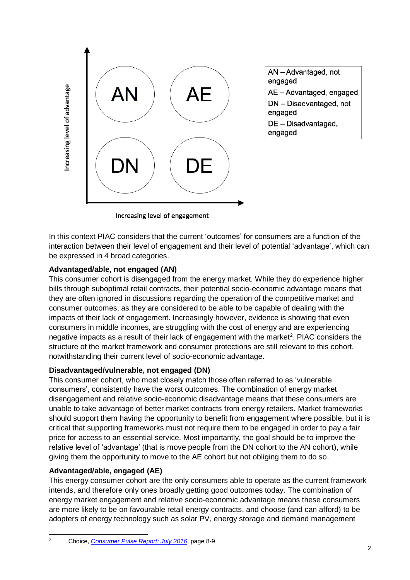

AN - Advantaged, not engaged AE - Advantaged, engaged DN - Disadvantaged, not engaged DE - Disadvantaged, engaged

Increasing level of engagement

In this context PIAC considers that the current 'outcomes' for consumers are a function of the interaction between their level of engagement and their level of potential 'advantage', which can be expressed in 4 broad categories.

### **Advantaged/able, not engaged (AN)**

This consumer cohort is disengaged from the energy market. While they do experience higher bills through suboptimal retail contracts, their potential socio-economic advantage means that they are often ignored in discussions regarding the operation of the competitive market and consumer outcomes, as they are considered to be able to be capable of dealing with the impacts of their lack of engagement. Increasingly however, evidence is showing that even consumers in middle incomes, are struggling with the cost of energy and are experiencing negative impacts as a result of their lack of engagement with the market<sup>2</sup>. PIAC considers the structure of the market framework and consumer protections are still relevant to this cohort, notwithstanding their current level of socio-economic advantage.

#### **Disadvantaged/vulnerable, not engaged (DN)**

This consumer cohort, who most closely match those often referred to as 'vulnerable consumers', consistently have the worst outcomes. The combination of energy market disengagement and relative socio-economic disadvantage means that these consumers are unable to take advantage of better market contracts from energy retailers. Market frameworks should support them having the opportunity to benefit from engagement where possible, but it is critical that supporting frameworks must not require them to be engaged in order to pay a fair price for access to an essential service. Most importantly, the goal should be to improve the relative level of 'advantage' (that is move people from the DN cohort to the AN cohort), while giving them the opportunity to move to the AE cohort but not obliging them to do so.

## **Advantaged/able, engaged (AE)**

This energy consumer cohort are the only consumers able to operate as the current framework intends, and therefore only ones broadly getting good outcomes today. The combination of energy market engagement and relative socio-economic advantage means these consumers are more likely to be on favourable retail energy contracts, and choose (and can afford) to be adopters of energy technology such as solar PV, energy storage and demand management

 $\overline{2}$ <sup>2</sup> Choice, *[Consumer Pulse Report: July 2016](https://www.choice.com.au/-/media/39d94cb1e9e040ad94a458ac43da06e8.ashx?la=en)*, page 8-9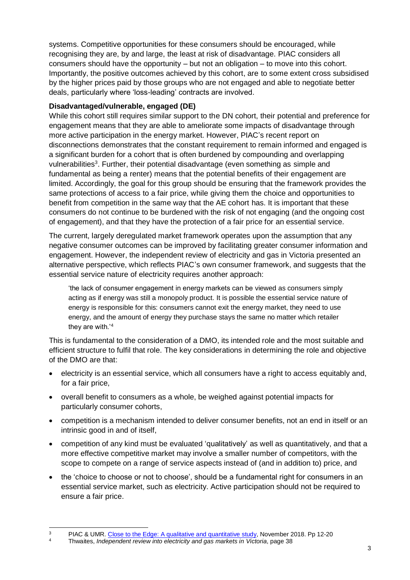systems. Competitive opportunities for these consumers should be encouraged, while recognising they are, by and large, the least at risk of disadvantage. PIAC considers all consumers should have the opportunity – but not an obligation – to move into this cohort. Importantly, the positive outcomes achieved by this cohort, are to some extent cross subsidised by the higher prices paid by those groups who are not engaged and able to negotiate better deals, particularly where 'loss-leading' contracts are involved.

### **Disadvantaged/vulnerable, engaged (DE)**

While this cohort still requires similar support to the DN cohort, their potential and preference for engagement means that they are able to ameliorate some impacts of disadvantage through more active participation in the energy market. However, PIAC's recent report on disconnections demonstrates that the constant requirement to remain informed and engaged is a significant burden for a cohort that is often burdened by compounding and overlapping vulnerabilities<sup>3</sup>. Further, their potential disadvantage (even something as simple and fundamental as being a renter) means that the potential benefits of their engagement are limited. Accordingly, the goal for this group should be ensuring that the framework provides the same protections of access to a fair price, while giving them the choice and opportunities to benefit from competition in the same way that the AE cohort has. It is important that these consumers do not continue to be burdened with the risk of not engaging (and the ongoing cost of engagement), and that they have the protection of a fair price for an essential service.

The current, largely deregulated market framework operates upon the assumption that any negative consumer outcomes can be improved by facilitating greater consumer information and engagement. However, the independent review of electricity and gas in Victoria presented an alternative perspective, which reflects PIAC's own consumer framework, and suggests that the essential service nature of electricity requires another approach:

'the lack of consumer engagement in energy markets can be viewed as consumers simply acting as if energy was still a monopoly product. It is possible the essential service nature of energy is responsible for this: consumers cannot exit the energy market, they need to use energy, and the amount of energy they purchase stays the same no matter which retailer they are with.'<sup>4</sup>

This is fundamental to the consideration of a DMO, its intended role and the most suitable and efficient structure to fulfil that role. The key considerations in determining the role and objective of the DMO are that:

- electricity is an essential service, which all consumers have a right to access equitably and, for a fair price,
- overall benefit to consumers as a whole, be weighed against potential impacts for particularly consumer cohorts,
- competition is a mechanism intended to deliver consumer benefits, not an end in itself or an intrinsic good in and of itself,
- competition of any kind must be evaluated 'qualitatively' as well as quantitatively, and that a more effective competitive market may involve a smaller number of competitors, with the scope to compete on a range of service aspects instead of (and in addition to) price, and
- the 'choice to choose or not to choose', should be a fundamental right for consumers in an essential service market, such as electricity. Active participation should not be required to ensure a fair price.

 <sup>3</sup> PIAC & UMR. [Close to the Edge: A qualitative and quantitative study,](https://www.piac.asn.au/wp-content/uploads/2018/11/PIAC-CTTE-Consolidated-Report-FINAL.pdf) November 2018. Pp 12-20<br><sup>4</sup> Physites *Independent review into electricity and ges markets in Victoria, page* <sup>29</sup>

<sup>4</sup> Thwaites, *Independent review into electricity and gas markets in Victoria*, page 38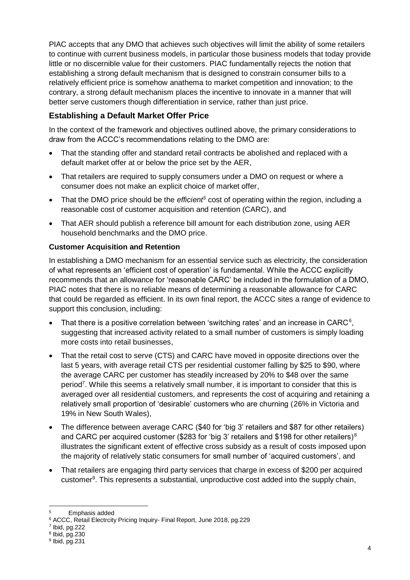PIAC accepts that any DMO that achieves such objectives will limit the ability of some retailers to continue with current business models, in particular those business models that today provide little or no discernible value for their customers. PIAC fundamentally rejects the notion that establishing a strong default mechanism that is designed to constrain consumer bills to a relatively efficient price is somehow anathema to market competition and innovation; to the contrary, a strong default mechanism places the incentive to innovate in a manner that will better serve customers though differentiation in service, rather than just price.

# **Establishing a Default Market Offer Price**

In the context of the framework and objectives outlined above, the primary considerations to draw from the ACCC's recommendations relating to the DMO are:

- That the standing offer and standard retail contracts be abolished and replaced with a default market offer at or below the price set by the AER,
- That retailers are required to supply consumers under a DMO on request or where a consumer does not make an explicit choice of market offer,
- That the DMO price should be the *efficient<sup>5</sup>* cost of operating within the region, including a reasonable cost of customer acquisition and retention (CARC), and
- That AER should publish a reference bill amount for each distribution zone, using AER household benchmarks and the DMO price.

## **Customer Acquisition and Retention**

In establishing a DMO mechanism for an essential service such as electricity, the consideration of what represents an 'efficient cost of operation' is fundamental. While the ACCC explicitly recommends that an allowance for 'reasonable CARC' be included in the formulation of a DMO, PIAC notes that there is no reliable means of determining a reasonable allowance for CARC that could be regarded as efficient. In its own final report, the ACCC sites a range of evidence to support this conclusion, including:

- That there is a positive correlation between 'switching rates' and an increase in CARC $6$ , suggesting that increased activity related to a small number of customers is simply loading more costs into retail businesses,
- That the retail cost to serve (CTS) and CARC have moved in opposite directions over the last 5 years, with average retail CTS per residential customer falling by \$25 to \$90, where the average CARC per customer has steadily increased by 20% to \$48 over the same period<sup>7</sup>. While this seems a relatively small number, it is important to consider that this is averaged over all residential customers, and represents the cost of acquiring and retaining a relatively small proportion of 'desirable' customers who are churning (26% in Victoria and 19% in New South Wales),
- The difference between average CARC (\$40 for 'big 3' retailers and \$87 for other retailers) and CARC per acquired customer (\$283 for 'big 3' retailers and \$198 for other retailers)<sup>8</sup> illustrates the significant extent of effective cross subsidy as a result of costs imposed upon the majority of relatively static consumers for small number of 'acquired customers', and
- That retailers are engaging third party services that charge in excess of \$200 per acquired customer<sup>9</sup>. This represents a substantial, unproductive cost added into the supply chain,

 $\overline{a}$ <sup>5</sup> Emphasis added

<sup>6</sup> ACCC, Retail Electrcity Pricing Inquiry- Final Report, June 2018, pg.229

<sup>7</sup> Ibid, pg.222

<sup>8</sup> Ibid, pg.230

<sup>&</sup>lt;sup>9</sup> Ibid, pg.231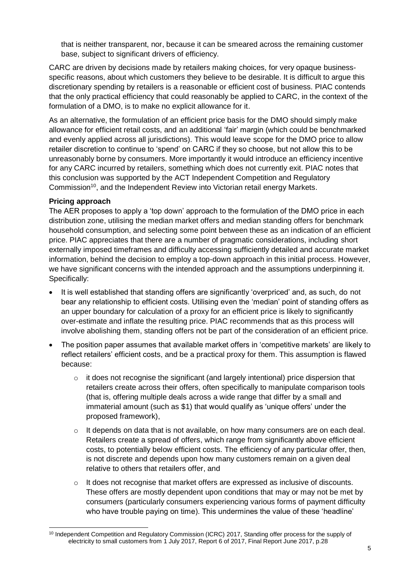that is neither transparent, nor, because it can be smeared across the remaining customer base, subject to significant drivers of efficiency.

CARC are driven by decisions made by retailers making choices, for very opaque businessspecific reasons, about which customers they believe to be desirable. It is difficult to argue this discretionary spending by retailers is a reasonable or efficient cost of business. PIAC contends that the only practical efficiency that could reasonably be applied to CARC, in the context of the formulation of a DMO, is to make no explicit allowance for it.

As an alternative, the formulation of an efficient price basis for the DMO should simply make allowance for efficient retail costs, and an additional 'fair' margin (which could be benchmarked and evenly applied across all jurisdictions). This would leave scope for the DMO price to allow retailer discretion to continue to 'spend' on CARC if they so choose, but not allow this to be unreasonably borne by consumers. More importantly it would introduce an efficiency incentive for any CARC incurred by retailers, something which does not currently exit. PIAC notes that this conclusion was supported by the ACT Independent Competition and Regulatory Commission<sup>10</sup>, and the Independent Review into Victorian retail energy Markets.

### **Pricing approach**

The AER proposes to apply a 'top down' approach to the formulation of the DMO price in each distribution zone, utilising the median market offers and median standing offers for benchmark household consumption, and selecting some point between these as an indication of an efficient price. PIAC appreciates that there are a number of pragmatic considerations, including short externally imposed timeframes and difficulty accessing sufficiently detailed and accurate market information, behind the decision to employ a top-down approach in this initial process. However, we have significant concerns with the intended approach and the assumptions underpinning it. Specifically:

- It is well established that standing offers are significantly 'overpriced' and, as such, do not bear any relationship to efficient costs. Utilising even the 'median' point of standing offers as an upper boundary for calculation of a proxy for an efficient price is likely to significantly over-estimate and inflate the resulting price. PIAC recommends that as this process will involve abolishing them, standing offers not be part of the consideration of an efficient price.
- The position paper assumes that available market offers in 'competitive markets' are likely to reflect retailers' efficient costs, and be a practical proxy for them. This assumption is flawed because:
	- o it does not recognise the significant (and largely intentional) price dispersion that retailers create across their offers, often specifically to manipulate comparison tools (that is, offering multiple deals across a wide range that differ by a small and immaterial amount (such as \$1) that would qualify as 'unique offers' under the proposed framework),
	- $\circ$  It depends on data that is not available, on how many consumers are on each deal. Retailers create a spread of offers, which range from significantly above efficient costs, to potentially below efficient costs. The efficiency of any particular offer, then, is not discrete and depends upon how many customers remain on a given deal relative to others that retailers offer, and
	- $\circ$  It does not recognise that market offers are expressed as inclusive of discounts. These offers are mostly dependent upon conditions that may or may not be met by consumers (particularly consumers experiencing various forms of payment difficulty who have trouble paying on time). This undermines the value of these 'headline'

 <sup>10</sup> Independent Competition and Regulatory Commission (ICRC) 2017, Standing offer process for the supply of electricity to small customers from 1 July 2017, Report 6 of 2017, Final Report June 2017, p.28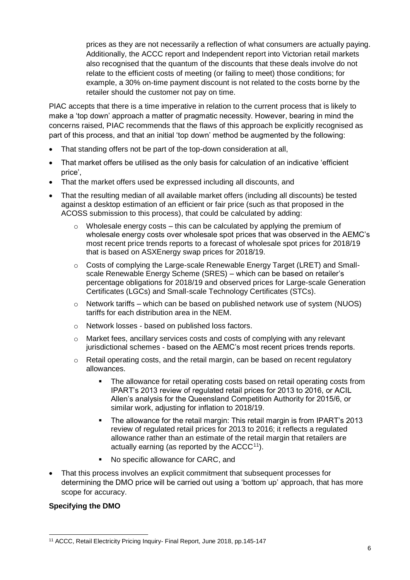prices as they are not necessarily a reflection of what consumers are actually paying. Additionally, the ACCC report and Independent report into Victorian retail markets also recognised that the quantum of the discounts that these deals involve do not relate to the efficient costs of meeting (or failing to meet) those conditions; for example, a 30% on-time payment discount is not related to the costs borne by the retailer should the customer not pay on time.

PIAC accepts that there is a time imperative in relation to the current process that is likely to make a 'top down' approach a matter of pragmatic necessity. However, bearing in mind the concerns raised, PIAC recommends that the flaws of this approach be explicitly recognised as part of this process, and that an initial 'top down' method be augmented by the following:

- That standing offers not be part of the top-down consideration at all,
- That market offers be utilised as the only basis for calculation of an indicative 'efficient price',
- That the market offers used be expressed including all discounts, and
- That the resulting median of all available market offers (including all discounts) be tested against a desktop estimation of an efficient or fair price (such as that proposed in the ACOSS submission to this process), that could be calculated by adding:
	- $\circ$  Wholesale energy costs this can be calculated by applying the premium of wholesale energy costs over wholesale spot prices that was observed in the AEMC's most recent price trends reports to a forecast of wholesale spot prices for 2018/19 that is based on ASXEnergy swap prices for 2018/19.
	- o Costs of complying the Large-scale Renewable Energy Target (LRET) and Smallscale Renewable Energy Scheme (SRES) – which can be based on retailer's percentage obligations for 2018/19 and observed prices for Large-scale Generation Certificates (LGCs) and Small-scale Technology Certificates (STCs).
	- $\circ$  Network tariffs which can be based on published network use of system (NUOS) tariffs for each distribution area in the NEM.
	- o Network losses based on published loss factors.
	- o Market fees, ancillary services costs and costs of complying with any relevant jurisdictional schemes - based on the AEMC's most recent prices trends reports.
	- $\circ$  Retail operating costs, and the retail margin, can be based on recent regulatory allowances.
		- The allowance for retail operating costs based on retail operating costs from IPART's 2013 review of regulated retail prices for 2013 to 2016, or ACIL Allen's analysis for the Queensland Competition Authority for 2015/6, or similar work, adjusting for inflation to 2018/19.
		- The allowance for the retail margin: This retail margin is from IPART's 2013 review of regulated retail prices for 2013 to 2016; it reflects a regulated allowance rather than an estimate of the retail margin that retailers are actually earning (as reported by the  $ACCC<sup>11</sup>$ ).
		- No specific allowance for CARC, and
- That this process involves an explicit commitment that subsequent processes for determining the DMO price will be carried out using a 'bottom up' approach, that has more scope for accuracy.

### **Specifying the DMO**

 $\overline{a}$ <sup>11</sup> ACCC, Retail Electricity Pricing Inquiry- Final Report, June 2018, pp.145-147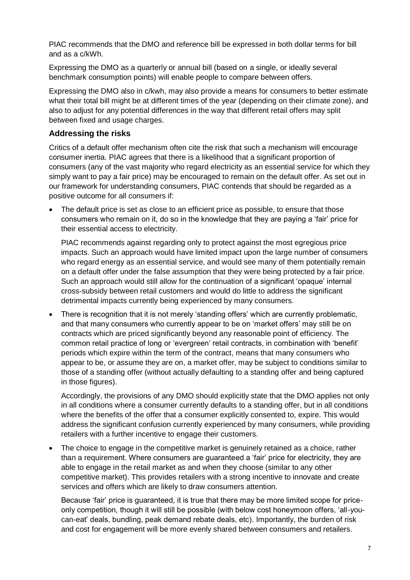PIAC recommends that the DMO and reference bill be expressed in both dollar terms for bill and as a c/kWh.

Expressing the DMO as a quarterly or annual bill (based on a single, or ideally several benchmark consumption points) will enable people to compare between offers.

Expressing the DMO also in c/kwh, may also provide a means for consumers to better estimate what their total bill might be at different times of the year (depending on their climate zone), and also to adjust for any potential differences in the way that different retail offers may split between fixed and usage charges.

## **Addressing the risks**

Critics of a default offer mechanism often cite the risk that such a mechanism will encourage consumer inertia. PIAC agrees that there is a likelihood that a significant proportion of consumers (any of the vast majority who regard electricity as an essential service for which they simply want to pay a fair price) may be encouraged to remain on the default offer. As set out in our framework for understanding consumers, PIAC contends that should be regarded as a positive outcome for all consumers if:

The default price is set as close to an efficient price as possible, to ensure that those consumers who remain on it, do so in the knowledge that they are paying a 'fair' price for their essential access to electricity.

PIAC recommends against regarding only to protect against the most egregious price impacts. Such an approach would have limited impact upon the large number of consumers who regard energy as an essential service, and would see many of them potentially remain on a default offer under the false assumption that they were being protected by a fair price. Such an approach would still allow for the continuation of a significant 'opaque' internal cross-subsidy between retail customers and would do little to address the significant detrimental impacts currently being experienced by many consumers.

• There is recognition that it is not merely 'standing offers' which are currently problematic, and that many consumers who currently appear to be on 'market offers' may still be on contracts which are priced significantly beyond any reasonable point of efficiency. The common retail practice of long or 'evergreen' retail contracts, in combination with 'benefit' periods which expire within the term of the contract, means that many consumers who appear to be, or assume they are on, a market offer, may be subject to conditions similar to those of a standing offer (without actually defaulting to a standing offer and being captured in those figures).

Accordingly, the provisions of any DMO should explicitly state that the DMO applies not only in all conditions where a consumer currently defaults to a standing offer, but in all conditions where the benefits of the offer that a consumer explicitly consented to, expire. This would address the significant confusion currently experienced by many consumers, while providing retailers with a further incentive to engage their customers.

• The choice to engage in the competitive market is genuinely retained as a choice, rather than a requirement. Where consumers are guaranteed a 'fair' price for electricity, they are able to engage in the retail market as and when they choose (similar to any other competitive market). This provides retailers with a strong incentive to innovate and create services and offers which are likely to draw consumers attention.

Because 'fair' price is guaranteed, it is true that there may be more limited scope for priceonly competition, though it will still be possible (with below cost honeymoon offers, 'all-youcan-eat' deals, bundling, peak demand rebate deals, etc). Importantly, the burden of risk and cost for engagement will be more evenly shared between consumers and retailers.